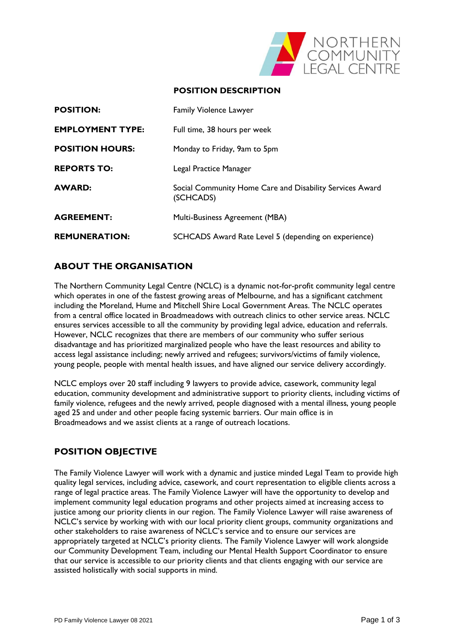

## **POSITION DESCRIPTION**

| <b>POSITION:</b>        | <b>Family Violence Lawyer</b>                                         |
|-------------------------|-----------------------------------------------------------------------|
| <b>EMPLOYMENT TYPE:</b> | Full time, 38 hours per week                                          |
| <b>POSITION HOURS:</b>  | Monday to Friday, 9am to 5pm                                          |
| <b>REPORTS TO:</b>      | Legal Practice Manager                                                |
| <b>AWARD:</b>           | Social Community Home Care and Disability Services Award<br>(SCHCADS) |
| <b>AGREEMENT:</b>       | Multi-Business Agreement (MBA)                                        |
| <b>REMUNERATION:</b>    | SCHCADS Award Rate Level 5 (depending on experience)                  |

# **ABOUT THE ORGANISATION**

The Northern Community Legal Centre (NCLC) is a dynamic not-for-profit community legal centre which operates in one of the fastest growing areas of Melbourne, and has a significant catchment including the Moreland, Hume and Mitchell Shire Local Government Areas. The NCLC operates from a central office located in Broadmeadows with outreach clinics to other service areas. NCLC ensures services accessible to all the community by providing legal advice, education and referrals. However, NCLC recognizes that there are members of our community who suffer serious disadvantage and has prioritized marginalized people who have the least resources and ability to access legal assistance including; newly arrived and refugees; survivors/victims of family violence, young people, people with mental health issues, and have aligned our service delivery accordingly.

NCLC employs over 20 staff including 9 lawyers to provide advice, casework, community legal education, community development and administrative support to priority clients, including victims of family violence, refugees and the newly arrived, people diagnosed with a mental illness, young people aged 25 and under and other people facing systemic barriers. Our main office is in Broadmeadows and we assist clients at a range of outreach locations.

# **POSITION OBJECTIVE**

The Family Violence Lawyer will work with a dynamic and justice minded Legal Team to provide high quality legal services, including advice, casework, and court representation to eligible clients across a range of legal practice areas. The Family Violence Lawyer will have the opportunity to develop and implement community legal education programs and other projects aimed at increasing access to justice among our priority clients in our region. The Family Violence Lawyer will raise awareness of NCLC's service by working with with our local priority client groups, community organizations and other stakeholders to raise awareness of NCLC's service and to ensure our services are appropriately targeted at NCLC's priority clients. The Family Violence Lawyer will work alongside our Community Development Team, including our Mental Health Support Coordinator to ensure that our service is accessible to our priority clients and that clients engaging with our service are assisted holistically with social supports in mind.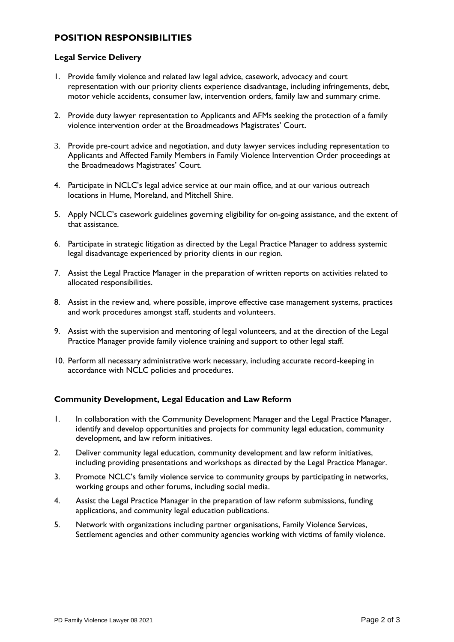# **POSITION RESPONSIBILITIES**

#### **Legal Service Delivery**

- 1. Provide family violence and related law legal advice, casework, advocacy and court representation with our priority clients experience disadvantage, including infringements, debt, motor vehicle accidents, consumer law, intervention orders, family law and summary crime.
- 2. Provide duty lawyer representation to Applicants and AFMs seeking the protection of a family violence intervention order at the Broadmeadows Magistrates' Court.
- 3. Provide pre-court advice and negotiation, and duty lawyer services including representation to Applicants and Affected Family Members in Family Violence Intervention Order proceedings at the Broadmeadows Magistrates' Court.
- 4. Participate in NCLC's legal advice service at our main office, and at our various outreach locations in Hume, Moreland, and Mitchell Shire.
- 5. Apply NCLC's casework guidelines governing eligibility for on-going assistance, and the extent of that assistance.
- 6. Participate in strategic litigation as directed by the Legal Practice Manager to address systemic legal disadvantage experienced by priority clients in our region.
- 7. Assist the Legal Practice Manager in the preparation of written reports on activities related to allocated responsibilities.
- 8. Assist in the review and, where possible, improve effective case management systems, practices and work procedures amongst staff, students and volunteers.
- 9. Assist with the supervision and mentoring of legal volunteers, and at the direction of the Legal Practice Manager provide family violence training and support to other legal staff.
- 10. Perform all necessary administrative work necessary, including accurate record-keeping in accordance with NCLC policies and procedures.

## **Community Development, Legal Education and Law Reform**

- 1. In collaboration with the Community Development Manager and the Legal Practice Manager, identify and develop opportunities and projects for community legal education, community development, and law reform initiatives.
- 2. Deliver community legal education, community development and law reform initiatives, including providing presentations and workshops as directed by the Legal Practice Manager.
- 3. Promote NCLC's family violence service to community groups by participating in networks, working groups and other forums, including social media.
- 4. Assist the Legal Practice Manager in the preparation of law reform submissions, funding applications, and community legal education publications.
- 5. Network with organizations including partner organisations, Family Violence Services, Settlement agencies and other community agencies working with victims of family violence.